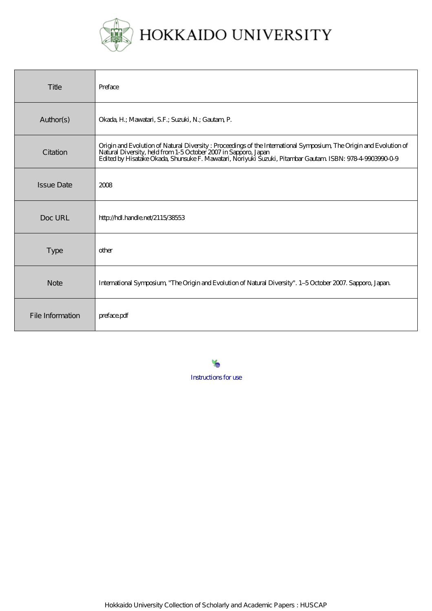

| Title             | Preface                                                                                                                                                                                                                                                                                           |
|-------------------|---------------------------------------------------------------------------------------------------------------------------------------------------------------------------------------------------------------------------------------------------------------------------------------------------|
| Author(s)         | Okada, H.; Mawatari, S.F.; Suzuki, N.; Gautam, P.                                                                                                                                                                                                                                                 |
| Citation          | Origin and Evolution of Natural Diversity: Proceedings of the International Symposium, The Origin and Evolution of<br>Natural Diversity, held from 1-5 October 2007 in Sapporo, Japan<br>Edited by Hisatake Okada, Shunsuke F. Mawatari, Noriyuki Suzuki, Pitambar Gautam ISBN: 978-4-9903990-0-9 |
| <b>Issue Date</b> | 2008                                                                                                                                                                                                                                                                                              |
| Doc URL           | http://hdl.handle.net/2115/38553                                                                                                                                                                                                                                                                  |
| <b>Type</b>       | other                                                                                                                                                                                                                                                                                             |
| <b>Note</b>       | International Symposium, "The Origin and Evolution of Natural Diversity". 1-5 October 2007. Sapporo, Japan.                                                                                                                                                                                       |
| File Information  | preface.pdf                                                                                                                                                                                                                                                                                       |

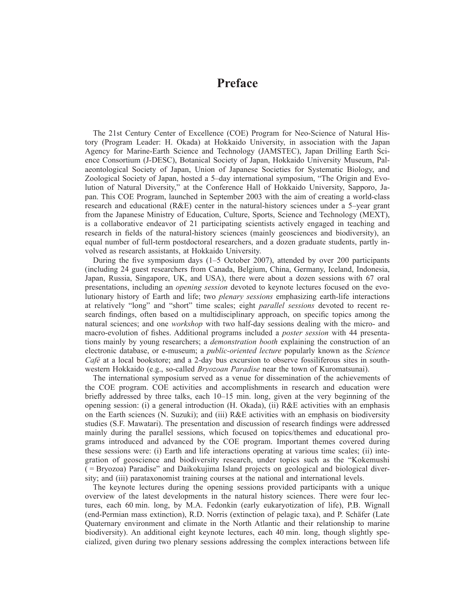## **Preface**

The 21st Century Center of Excellence (COE) Program for Neo-Science of Natural History (Program Leader: H. Okada) at Hokkaido University, in association with the Japan Agency for Marine-Earth Science and Technology (JAMSTEC), Japan Drilling Earth Science Consortium (J-DESC), Botanical Society of Japan, Hokkaido University Museum, Palaeontological Society of Japan, Union of Japanese Societies for Systematic Biology, and Zoological Society of Japan, hosted a 5–day international symposium, "The Origin and Evolution of Natural Diversity," at the Conference Hall of Hokkaido University, Sapporo, Japan. This COE Program, launched in September 2003 with the aim of creating a world-class research and educational  $(R\&E)$  center in the natural-history sciences under a 5-year grant from the Japanese Ministry of Education, Culture, Sports, Science and Technology (MEXT), is a collaborative endeavor of 21 participating scientists actively engaged in teaching and research in fields of the natural-history sciences (mainly geosciences and biodiversity), an equal number of full-term postdoctoral researchers, and a dozen graduate students, partly involved as research assistants, at Hokkaido University.

During the five symposium days (1–5 October 2007), attended by over 200 participants (including 24 guest researchers from Canada, Belgium, China, Germany, Iceland, Indonesia, Japan, Russia, Singapore, UK, and USA), there were about a dozen sessions with 67 oral presentations, including an *opening session* devoted to keynote lectures focused on the evolutionary history of Earth and life; two *plenary sessions* emphasizing earth-life interactions at relatively "long" and "short" time scales; eight *parallel sessions* devoted to recent research findings, often based on a multidisciplinary approach, on specific topics among the natural sciences; and one *workshop* with two half-day sessions dealing with the micro- and macro-evolution of fishes. Additional programs included a *poster session* with 44 presentations mainly by young researchers; a *demonstration booth* explaining the construction of an electronic database, or e-museum; a *public-oriented lecture* popularly known as the *Science Café* at a local bookstore; and a 2-day bus excursion to observe fossiliferous sites in southwestern Hokkaido (e.g., so-called *Bryozoan Paradise* near the town of Kuromatsunai).

The international symposium served as a venue for dissemination of the achievements of the COE program. COE activities and accomplishments in research and education were briefly addressed by three talks, each 10–15 min. long, given at the very beginning of the opening session: (i) a general introduction (H. Okada), (ii) R&E activities with an emphasis on the Earth sciences (N. Suzuki); and (iii) R&E activities with an emphasis on biodiversity studies (S.F. Mawatari). The presentation and discussion of research findings were addressed mainly during the parallel sessions, which focused on topics/themes and educational programs introduced and advanced by the COE program. Important themes covered during these sessions were: (i) Earth and life interactions operating at various time scales; (ii) integration of geoscience and biodiversity research, under topics such as the "Kokemushi ( = Bryozoa) Paradise" and Daikokujima Island projects on geological and biological diversity; and (iii) parataxonomist training courses at the national and international levels.

The keynote lectures during the opening sessions provided participants with a unique overview of the latest developments in the natural history sciences. There were four lectures, each 60 min. long, by M.A. Fedonkin (early eukaryotization of life), P.B. Wignall (end-Permian mass extinction), R.D. Norris (extinction of pelagic taxa), and P. Schäfer (Late Quaternary environment and climate in the North Atlantic and their relationship to marine biodiversity). An additional eight keynote lectures, each 40 min. long, though slightly specialized, given during two plenary sessions addressing the complex interactions between life